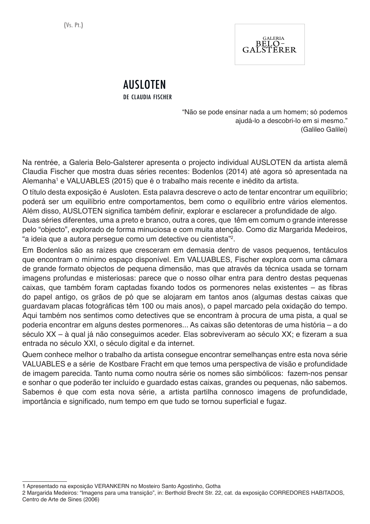

# AUSLOTEN

de claudia fischer

"Não se pode ensinar nada a um homem; só podemos ajudá-lo a descobri-lo em si mesmo." (Galileo Galilei)

Na rentrée, a Galeria Belo-Galsterer apresenta o projecto individual AUSLOTEN da artista alemã Claudia Fischer que mostra duas séries recentes: Bodenlos (2014) até agora só apresentada na Alemanha<sup>1</sup> e VALUABLES (2015) que é o trabalho mais recente e inédito da artista.

O título desta exposição é Ausloten. Esta palavra descreve o acto de tentar encontrar um equilíbrio; poderá ser um equilíbrio entre comportamentos, bem como o equilíbrio entre vários elementos. Além disso, AUSLOTEN significa também definir, explorar e esclarecer a profundidade de algo.

Duas séries diferentes, uma a preto e branco, outra a cores, que têm em comum o grande interesse pelo "objecto", explorado de forma minuciosa e com muita atenção. Como diz Margarida Medeiros, "a ideia que a autora persegue como um detective ou cientista"<sup>2</sup> .

Em Bodenlos são as raízes que cresceram em demasia dentro de vasos pequenos, tentáculos que encontram o mínimo espaço disponível. Em VALUABLES, Fischer explora com uma câmara de grande formato objectos de pequena dimensão, mas que através da técnica usada se tornam imagens profundas e misteriosas: parece que o nosso olhar entra para dentro destas pequenas caixas, que também foram captadas fixando todos os pormenores nelas existentes – as fibras do papel antigo, os grãos de pó que se alojaram em tantos anos (algumas destas caixas que guardavam placas fotográficas têm 100 ou mais anos), o papel marcado pela oxidação do tempo. Aqui também nos sentimos como detectives que se encontram à procura de uma pista, a qual se poderia encontrar em alguns destes pormenores... As caixas são detentoras de uma história – a do século XX – à qual já não conseguimos aceder. Elas sobreviveram ao século XX; e fizeram a sua entrada no século XXI, o século digital e da internet.

Quem conhece melhor o trabalho da artista consegue encontrar semelhanças entre esta nova série VALUABLES e a série de Kostbare Fracht em que temos uma perspectiva de visão e profundidade de imagem parecida. Tanto numa como noutra série os nomes são simbólicos: fazem-nos pensar e sonhar o que poderão ter incluído e guardado estas caixas, grandes ou pequenas, não sabemos. Sabemos é que com esta nova série, a artista partilha connosco imagens de profundidade, importância e significado, num tempo em que tudo se tornou superficial e fugaz.

<sup>1</sup> Apresentado na exposição VERANKERN no Mosteiro Santo Agostinho, Gotha

<sup>2</sup> Margarida Medeiros: "Imagens para uma transição", in: Berthold Brecht Str. 22, cat. da exposição CORREDORES HABITADOS, Centro de Arte de Sines (2006)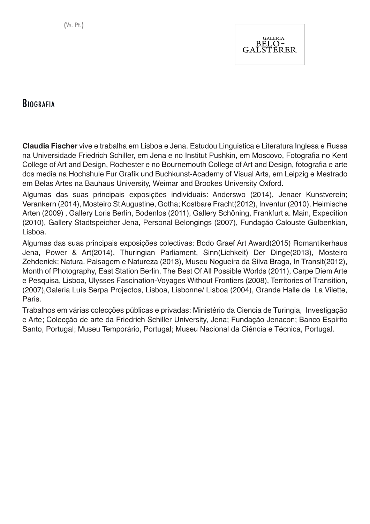

#### **BIOGRAFIA**

**Claudia Fischer** vive e trabalha em Lisboa e Jena. Estudou Linguistica e Literatura Inglesa e Russa na Universidade Friedrich Schiller, em Jena e no Institut Pushkin, em Moscovo, Fotografia no Kent College of Art and Design, Rochester e no Bournemouth College of Art and Design, fotografia e arte dos media na Hochshule Fur Grafik und Buchkunst-Academy of Visual Arts, em Leipzig e Mestrado em Belas Artes na Bauhaus University, Weimar and Brookes University Oxford.

Algumas das suas principais exposições individuais: Anderswo (2014), Jenaer Kunstverein; Verankern (2014), Mosteiro St Augustine, Gotha; Kostbare Fracht(2012), Inventur (2010), Heimische Arten (2009) , Gallery Loris Berlin, Bodenlos (2011), Gallery Schöning, Frankfurt a. Main, Expedition (2010), Gallery Stadtspeicher Jena, Personal Belongings (2007), Fundação Calouste Gulbenkian, Lisboa.

Algumas das suas principais exposições colectivas: Bodo Graef Art Award(2015) Romantikerhaus Jena, Power & Art(2014), Thuringian Parliament, Sinn(Lichkeit) Der Dinge(2013), Mosteiro Zehdenick; Natura. Paisagem e Natureza (2013), Museu Nogueira da Silva Braga, In Transit(2012), Month of Photography, East Station Berlin, The Best Of All Possible Worlds (2011), Carpe Diem Arte e Pesquisa, Lisboa, Ulysses Fascination-Voyages Without Frontiers (2008), Territories of Transition, (2007),Galeria Luís Serpa Projectos, Lisboa, Lisbonne/ Lisboa (2004), Grande Halle de La Vilette, Paris.

Trabalhos em várias colecções públicas e privadas: Ministério da Ciencia de Turingia, Investigação e Arte; Colecção de arte da Friedrich Schiller University, Jena; Fundação Jenacon; Banco Espirito Santo, Portugal; Museu Temporário, Portugal; Museu Nacional da Ciência e Técnica, Portugal.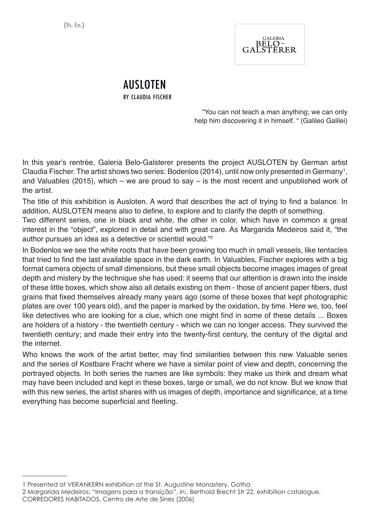

#### AUSLOTEN by claudia fischer

"You can not teach a man anything; we can only help him discovering it in himself. " (Galileo Galilei)

In this year's rentrée, Galeria Belo-Galsterer presents the project AUSLOTEN by German artist Claudia Fischer. The artist shows two series: Bodenlos (2014), until now only presented in Germany<sup>1</sup>, and Valuables (2015), which – we are proud to say – is the most recent and unpublished work of the artist.

The title of this exhibition is Ausloten. A word that describes the act of trying to find a balance. In addition, AUSLOTEN means also to define, to explore and to clarify the depth of something.

Two different series, one in black and white, the other in color, which have in common a great interest in the "object", explored in detail and with great care. As Margarida Medeiros said it, "the author pursues an idea as a detective or scientist would."2

In Bodenlos we see the white roots that have been growing too much in small vessels, like tentacles that tried to find the last available space in the dark earth. In Valuables, Fischer explores with a big format camera objects of small dimensions, but these small objects become images images of great depth and mistery by the technique she has used: it seems that our attention is drawn into the inside of these little boxes, which show also all details existing on them - those of ancient paper fibers, dust grains that fixed themselves already many years ago (some of these boxes that kept photographic plates are over 100 years old), and the paper is marked by the oxidation, by time. Here we, too, feel like detectives who are looking for a clue, which one might find in some of these details ... Boxes are holders of a history - the twentieth century - which we can no longer access. They survived the twentieth century; and made their entry into the twenty-first century, the century of the digital and the internet.

Who knows the work of the artist better, may find similarities between this new Valuable series and the series of Kostbare Fracht where we have a similar point of view and depth, concerning the portrayed objects. In both series the names are like symbols: they make us think and dream what may have been included and kept in these boxes, large or small, we do not know. But we know that with this new series, the artist shares with us images of depth, importance and significance, at a time everything has become superficial and fleeting.

<sup>1</sup> Presented at VERANKERN exhibition at the St. Augustine Monastery, Gotha

<sup>2</sup> Margarida Medeiros: "Imagens para a transição", in:. Berthold Brecht Str 22, exhibition catalogue, CORREDORES HABITADOS, Centro de Arte de Sines (2006)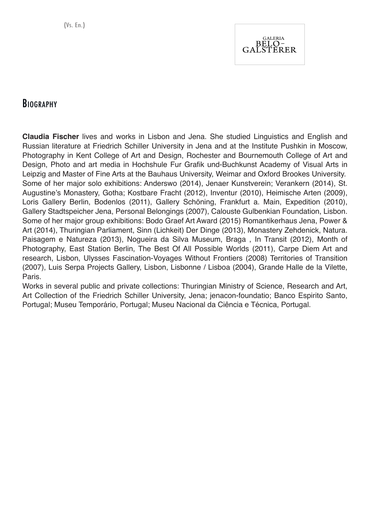

### **BIOGRAPHY**

**Claudia Fischer** lives and works in Lisbon and Jena. She studied Linguistics and English and Russian literature at Friedrich Schiller University in Jena and at the Institute Pushkin in Moscow, Photography in Kent College of Art and Design, Rochester and Bournemouth College of Art and Design, Photo and art media in Hochshule Fur Grafik und-Buchkunst Academy of Visual Arts in Leipzig and Master of Fine Arts at the Bauhaus University, Weimar and Oxford Brookes University. Some of her major solo exhibitions: Anderswo (2014), Jenaer Kunstverein; Verankern (2014), St. Augustine's Monastery, Gotha; Kostbare Fracht (2012), Inventur (2010), Heimische Arten (2009), Loris Gallery Berlin, Bodenlos (2011), Gallery Schöning, Frankfurt a. Main, Expedition (2010), Gallery Stadtspeicher Jena, Personal Belongings (2007), Calouste Gulbenkian Foundation, Lisbon. Some of her major group exhibitions: Bodo Graef Art Award (2015) Romantikerhaus Jena, Power & Art (2014), Thuringian Parliament, Sinn (Lichkeit) Der Dinge (2013), Monastery Zehdenick, Natura. Paisagem e Natureza (2013), Nogueira da Silva Museum, Braga , In Transit (2012), Month of Photography, East Station Berlin, The Best Of All Possible Worlds (2011), Carpe Diem Art and research, Lisbon, Ulysses Fascination-Voyages Without Frontiers (2008) Territories of Transition (2007), Luis Serpa Projects Gallery, Lisbon, Lisbonne / Lisboa (2004), Grande Halle de la Vilette, Paris.

Works in several public and private collections: Thuringian Ministry of Science, Research and Art, Art Collection of the Friedrich Schiller University, Jena; jenacon-foundatio; Banco Espirito Santo, Portugal; Museu Temporário, Portugal; Museu Nacional da Ciência e Técnica, Portugal.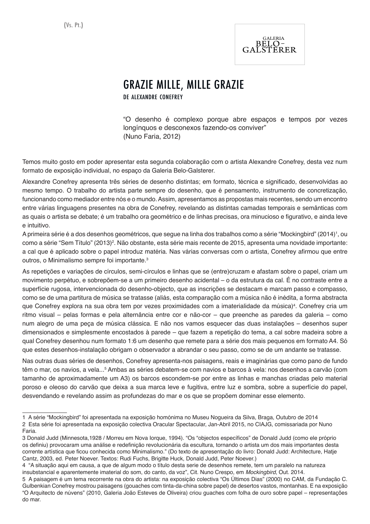

## GraZIE MILLE, MILLE GRAZIE

de alexandre conefrey

"O desenho é complexo porque abre espaços e tempos por vezes longínquos e desconexos fazendo-os conviver" (Nuno Faria, 2012)

Temos muito gosto em poder apresentar esta segunda colaboração com o artista Alexandre Conefrey, desta vez num formato de exposição individual, no espaço da Galeria Belo-Galsterer.

Alexandre Conefrey apresenta três séries de desenho distintas; em formato, técnica e significado, desenvolvidas ao mesmo tempo. O trabalho do artista parte sempre do desenho, que é pensamento, instrumento de concretização, funcionando como mediador entre nós e o mundo. Assim, apresentamos as propostas mais recentes, sendo um encontro entre várias linguagens presentes na obra de Conefrey, revelando as distintas camadas temporais e semânticas com as quais o artista se debate; é um trabalho ora geométrico e de linhas precisas, ora minucioso e figurativo, e ainda leve e intuitivo.

A primeira série é a dos desenhos geométricos, que segue na linha dos trabalhos como a série "Mockingbird" (2014)<sup>1</sup>, ou como a série "Sem Título" (2013)<sup>2</sup>. Não obstante, esta série mais recente de 2015, apresenta uma novidade importante: a cal que é aplicado sobre o papel introduz matéria. Nas várias conversas com o artista, Conefrey afirmou que entre outros, o Minimalismo sempre foi importante.3

As repetições e variações de círculos, semi-círculos e linhas que se (entre)cruzam e afastam sobre o papel, criam um movimento perpétuo, e sobrepõem-se a um primeiro desenho acidental – o da estrutura da cal. É no contraste entre a superfície rugosa, intervencionada do desenho-objecto, que as inscrições se destacam e marcam passo e compasso, como se de uma partitura de música se tratasse (aliás, esta comparação com a música não é inédita, a forma abstracta que Conefrey explora na sua obra tem por vezes proximidades com a imaterialidade da música)<sup>4</sup>. Conefrey cria um ritmo visual – pelas formas e pela alternância entre cor e não-cor – que preenche as paredes da galeria – como num alegro de uma peça de música clássica. E não nos vamos esquecer das duas instalações – desenhos super dimensionados e simplesmente encostados à parede – que fazem a repetição do tema, a cal sobre madeira sobre a qual Conefrey desenhou num formato 1:6 um desenho que remete para a série dos mais pequenos em formato A4. Só que estes desenhos-instalação obrigam o observador a abrandar o seu passo, como se de um andante se tratasse.

Nas outras duas séries de desenhos, Conefrey apresenta-nos paisagens, reais e imaginárias que como pano de fundo têm o mar, os navios, a vela…<sup>5</sup> Ambas as séries debatem-se com navios e barcos à vela: nos desenhos a carvão (com tamanho de aproximadamente um A3) os barcos escondem-se por entre as linhas e manchas criadas pelo material poroso e oleoso do carvão que deixa a sua marca leve e fugitiva, entre luz e sombra, sobre a superfície do papel, desvendando e revelando assim as profundezas do mar e os que se propõem dominar esse elemento.

<sup>1</sup> A série "Mockingbird" foi apresentada na exposição homónima no Museu Nogueira da Silva, Braga, Outubro de 2014 2 Esta série foi apresentada na exposição colectiva Oracular Spectacular, Jan-Abril 2015, no CIAJG, comissariada por Nuno Faria.

<sup>3</sup> Donald Judd (Minnesota,1928 / Morreu em Nova Iorque, 1994). "Os "objectos específicos" de Donald Judd (como ele próprio os definiu) provocaram uma análise e redefinição revolucionária da escultura, tornando o artista um dos mais importantes desta corrente artística que ficou conhecida como Minimalismo." (Do texto de apresentação do livro: Donald Judd: Architecture, Hatje Cantz, 2003, ed. Peter Noever. Textos: Rudi Fuchs, Brigitte Huck, Donald Judd, Peter Noever.)

<sup>4 &</sup>quot;A situação aqui em causa, a que de algum modo o título desta serie de desenhos remete, tem um paralelo na natureza insubstancial e aparentemente imaterial do som, do canto, da voz", Cit. Nuno Crespo, em *Mockingbird*, Out. 2014.

<sup>5</sup> A paisagem é um tema recorrente na obra do artista: na exposição colectiva "Os Últimos Dias" (2000) no CAM, da Fundação C. Gulbenkian Conefrey mostrou paisagens (gouaches com tinta-da-china sobre papel) de desertos vastos, montanhas. E na exposição "O Arquitecto de núvens" (2010, Galeria João Esteves de Oliveira) criou guaches com folha de ouro sobre papel – representações do mar.